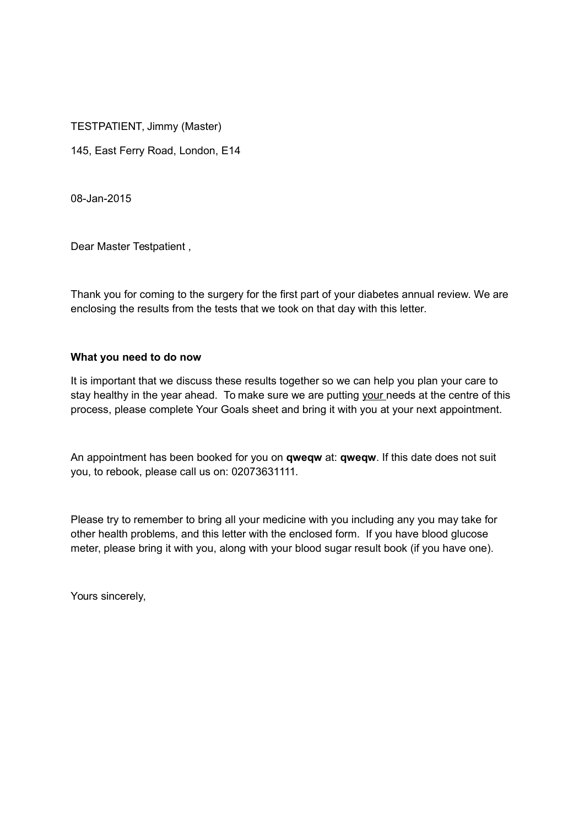TESTPATIENT, Jimmy (Master)

145, East Ferry Road, London, E14

08-Jan-2015

Dear Master Testpatient ,

Thank you for coming to the surgery for the first part of your diabetes annual review. We are enclosing the results from the tests that we took on that day with this letter.

## **What you need to do now**

It is important that we discuss these results together so we can help you plan your care to stay healthy in the year ahead. To make sure we are putting your needs at the centre of this process, please complete Your Goals sheet and bring it with you at your next appointment.

An appointment has been booked for you on **qweqw** at: **qweqw**. If this date does not suit you, to rebook, please call us on: 02073631111.

Please try to remember to bring all your medicine with you including any you may take for other health problems, and this letter with the enclosed form. If you have blood glucose meter, please bring it with you, along with your blood sugar result book (if you have one).

Yours sincerely,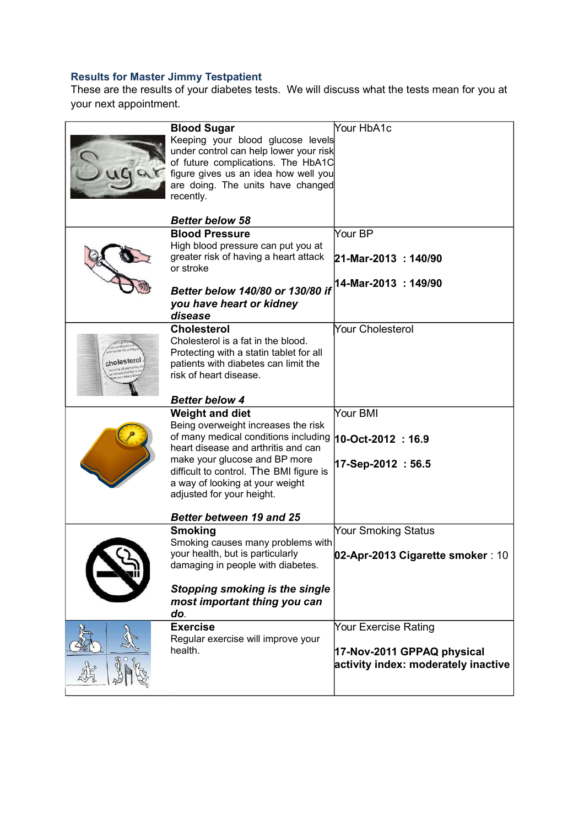## **Results for Master Jimmy Testpatient**

These are the results of your diabetes tests. We will discuss what the tests mean for you at your next appointment.

|            | <b>Blood Sugar</b><br>Keeping your blood glucose levels<br>under control can help lower your risk<br>of future complications. The HbA1C<br>figure gives us an idea how well you<br>are doing. The units have changed<br>recently.<br><b>Better below 58</b>                              | Your HbA1c                                                                                |
|------------|------------------------------------------------------------------------------------------------------------------------------------------------------------------------------------------------------------------------------------------------------------------------------------------|-------------------------------------------------------------------------------------------|
|            | <b>Blood Pressure</b>                                                                                                                                                                                                                                                                    | Your BP                                                                                   |
|            | High blood pressure can put you at<br>greater risk of having a heart attack<br>or stroke                                                                                                                                                                                                 | $21-Mar-2013$ : 140/90                                                                    |
|            | Better below 140/80 or 130/80 if<br>you have heart or kidney<br>disease                                                                                                                                                                                                                  | 14-Mar-2013: 149/90                                                                       |
| holesterol | <b>Cholesterol</b><br>Cholesterol is a fat in the blood.<br>Protecting with a statin tablet for all<br>patients with diabetes can limit the<br>risk of heart disease.                                                                                                                    | Your Cholesterol                                                                          |
|            | <b>Better below 4</b>                                                                                                                                                                                                                                                                    |                                                                                           |
|            | <b>Weight and diet</b><br>Being overweight increases the risk<br>of many medical conditions including<br>heart disease and arthritis and can<br>make your glucose and BP more<br>difficult to control. The BMI figure is<br>a way of looking at your weight<br>adjusted for your height. | Your BMI<br>$10-Oct-2012 : 16.9$<br>17-Sep-2012: 56.5                                     |
|            | <b>Better between 19 and 25</b>                                                                                                                                                                                                                                                          |                                                                                           |
|            | <b>Smoking</b><br>Smoking causes many problems with<br>your health, but is particularly<br>damaging in people with diabetes.<br>Stopping smoking is the single<br>most important thing you can<br>do.                                                                                    | Your Smoking Status<br>02-Apr-2013 Cigarette smoker : 10                                  |
|            | <b>Exercise</b><br>Regular exercise will improve your<br>health.                                                                                                                                                                                                                         | Your Exercise Rating<br>17-Nov-2011 GPPAQ physical<br>activity index: moderately inactive |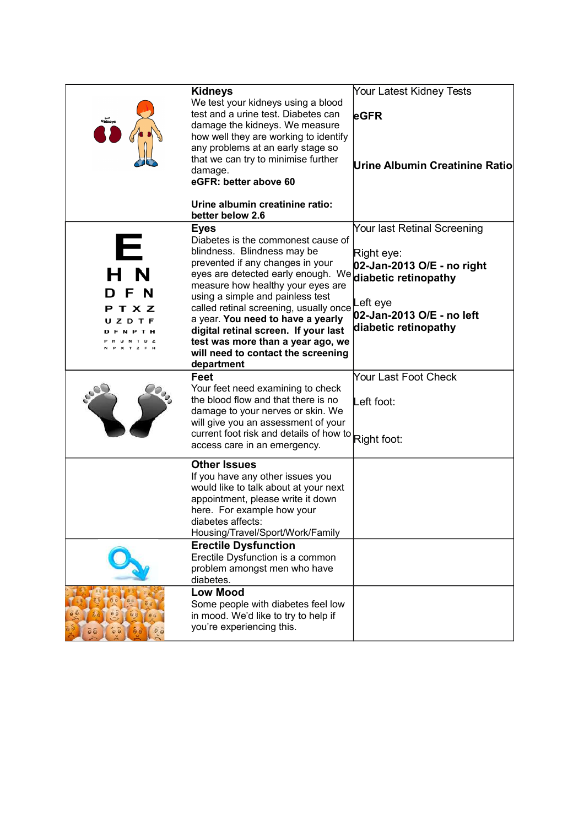| xour<br>Kidneys            | <b>Kidneys</b><br>We test your kidneys using a blood<br>test and a urine test. Diabetes can<br>damage the kidneys. We measure<br>how well they are working to identify<br>any problems at an early stage so<br>that we can try to minimise further<br>damage.<br>eGFR: better above 60<br>Urine albumin creatinine ratio:<br>better below 2.6                                                                                                                            | Your Latest Kidney Tests<br>eGFR<br>Urine Albumin Creatinine Ratio                                                                       |
|----------------------------|--------------------------------------------------------------------------------------------------------------------------------------------------------------------------------------------------------------------------------------------------------------------------------------------------------------------------------------------------------------------------------------------------------------------------------------------------------------------------|------------------------------------------------------------------------------------------------------------------------------------------|
| Е<br>F<br>N<br>тхz<br>ZDTF | <b>Eyes</b><br>Diabetes is the commonest cause of<br>blindness. Blindness may be<br>prevented if any changes in your<br>eyes are detected early enough. We diabetic retinopathy<br>measure how healthy your eyes are<br>using a simple and painless test<br>called retinal screening, usually once<br>a year. You need to have a yearly<br>digital retinal screen. If your last<br>test was more than a year ago, we<br>will need to contact the screening<br>department | Your last Retinal Screening<br>Right eye:<br>02-Jan-2013 O/E - no right<br>Left eye<br>02-Jan-2013 O/E - no left<br>diabetic retinopathy |
|                            | Feet<br>Your feet need examining to check<br>the blood flow and that there is no<br>damage to your nerves or skin. We<br>will give you an assessment of your<br>current foot risk and details of how to Right foot:<br>access care in an emergency.                                                                                                                                                                                                                      | Your Last Foot Check<br>Left foot:                                                                                                       |
|                            | <b>Other Issues</b><br>If you have any other issues you<br>would like to talk about at your next<br>appointment, please write it down<br>here. For example how your<br>diabetes affects:<br>Housing/Travel/Sport/Work/Family<br><b>Erectile Dysfunction</b><br>Erectile Dysfunction is a common                                                                                                                                                                          |                                                                                                                                          |
|                            | problem amongst men who have<br>diabetes.<br><b>Low Mood</b><br>Some people with diabetes feel low<br>in mood. We'd like to try to help if<br>you're experiencing this.                                                                                                                                                                                                                                                                                                  |                                                                                                                                          |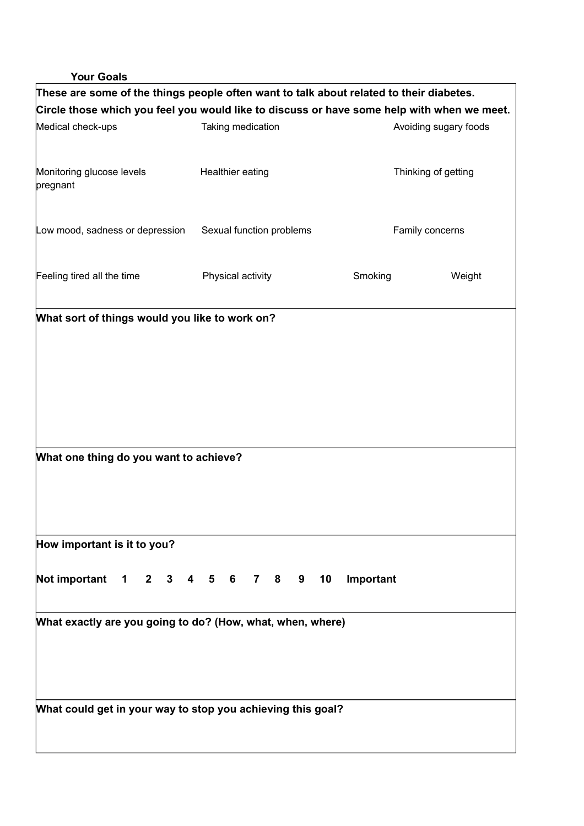## **Your Goals**

| These are some of the things people often want to talk about related to their diabetes.    |  |                          |  |                 |                     |                       |  |  |
|--------------------------------------------------------------------------------------------|--|--------------------------|--|-----------------|---------------------|-----------------------|--|--|
| Circle those which you feel you would like to discuss or have some help with when we meet. |  |                          |  |                 |                     |                       |  |  |
| Medical check-ups                                                                          |  | Taking medication        |  |                 |                     | Avoiding sugary foods |  |  |
|                                                                                            |  |                          |  |                 |                     |                       |  |  |
| Monitoring glucose levels                                                                  |  | Healthier eating         |  |                 | Thinking of getting |                       |  |  |
| pregnant                                                                                   |  |                          |  |                 |                     |                       |  |  |
|                                                                                            |  |                          |  |                 |                     |                       |  |  |
| Low mood, sadness or depression                                                            |  | Sexual function problems |  | Family concerns |                     |                       |  |  |
|                                                                                            |  |                          |  |                 |                     |                       |  |  |
| Feeling tired all the time                                                                 |  | Physical activity        |  |                 | Smoking             | Weight                |  |  |
|                                                                                            |  |                          |  |                 |                     |                       |  |  |
| What sort of things would you like to work on?                                             |  |                          |  |                 |                     |                       |  |  |
|                                                                                            |  |                          |  |                 |                     |                       |  |  |
|                                                                                            |  |                          |  |                 |                     |                       |  |  |
|                                                                                            |  |                          |  |                 |                     |                       |  |  |
|                                                                                            |  |                          |  |                 |                     |                       |  |  |
|                                                                                            |  |                          |  |                 |                     |                       |  |  |
|                                                                                            |  |                          |  |                 |                     |                       |  |  |
|                                                                                            |  |                          |  |                 |                     |                       |  |  |
| What one thing do you want to achieve?                                                     |  |                          |  |                 |                     |                       |  |  |
|                                                                                            |  |                          |  |                 |                     |                       |  |  |
|                                                                                            |  |                          |  |                 |                     |                       |  |  |
|                                                                                            |  |                          |  |                 |                     |                       |  |  |
| How important is it to you?                                                                |  |                          |  |                 |                     |                       |  |  |
|                                                                                            |  |                          |  |                 |                     |                       |  |  |
| Not important 1 2 3 4 5 6 7 8 9 10 Important                                               |  |                          |  |                 |                     |                       |  |  |
|                                                                                            |  |                          |  |                 |                     |                       |  |  |
| What exactly are you going to do? (How, what, when, where)                                 |  |                          |  |                 |                     |                       |  |  |
|                                                                                            |  |                          |  |                 |                     |                       |  |  |
|                                                                                            |  |                          |  |                 |                     |                       |  |  |
|                                                                                            |  |                          |  |                 |                     |                       |  |  |
| What could get in your way to stop you achieving this goal?                                |  |                          |  |                 |                     |                       |  |  |
|                                                                                            |  |                          |  |                 |                     |                       |  |  |
|                                                                                            |  |                          |  |                 |                     |                       |  |  |